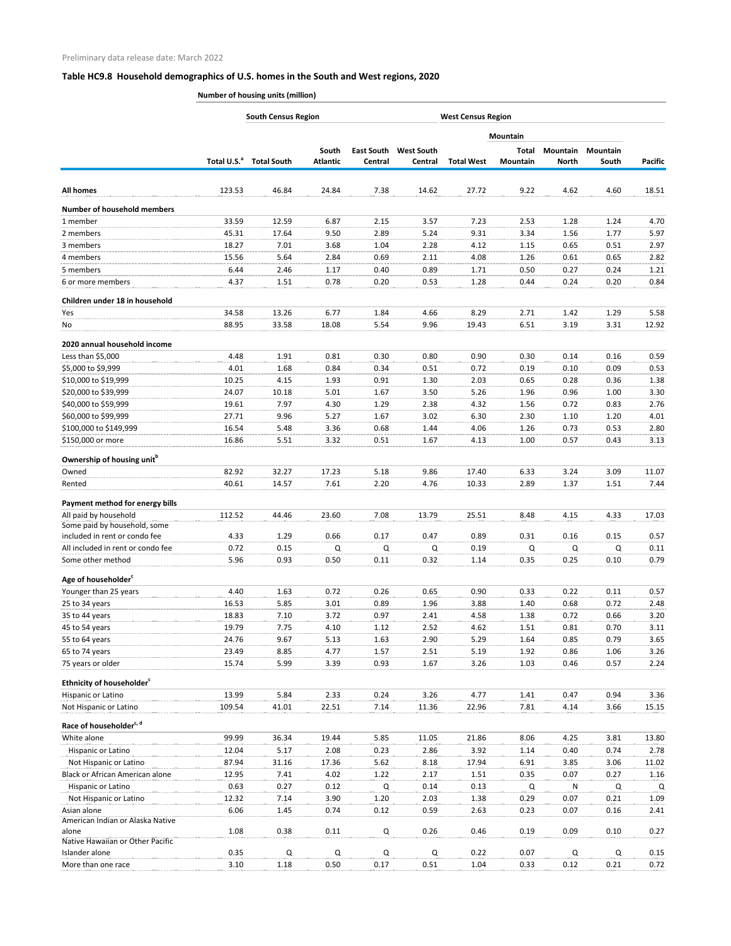## **Table HC9.8 Household demographics of U.S. homes in the South and West regions, 2020**

**Number of housing units (million)**

|                                           | <b>South Census Region</b><br><b>West Census Region</b> |                                     |                          |         |                                         |                   |                   |                                 |                          |              |
|-------------------------------------------|---------------------------------------------------------|-------------------------------------|--------------------------|---------|-----------------------------------------|-------------------|-------------------|---------------------------------|--------------------------|--------------|
|                                           |                                                         |                                     |                          |         |                                         |                   | <b>Mountain</b>   |                                 |                          | Pacific      |
|                                           |                                                         | Total U.S. <sup>a</sup> Total South | South<br><b>Atlantic</b> | Central | <b>East South West South</b><br>Central | <b>Total West</b> | Total<br>Mountain | <b>Mountain</b><br><b>North</b> | <b>Mountain</b><br>South |              |
| <b>All homes</b>                          | 123.53                                                  | 46.84                               | 24.84                    | 7.38    | 14.62                                   | 27.72             | 9.22              | 4.62                            | 4.60                     | 18.51        |
| <b>Number of household members</b>        |                                                         |                                     |                          |         |                                         |                   |                   |                                 |                          |              |
| 1 member                                  | 33.59                                                   | 12.59                               | 6.87                     | 2.15    | 3.57                                    | 7.23              | 2.53              | 1.28                            | 1.24                     | 4.70         |
| 2 members                                 | 45.31                                                   | 17.64                               | 9.50                     | 2.89    | 5.24                                    | 9.31              | 3.34              | 1.56                            | 1.77                     | 5.97         |
| 3 members                                 | 18.27                                                   | 7.01                                | 3.68                     | 1.04    | 2.28                                    | 4.12              | 1.15              | 0.65                            | 0.51                     | 2.97         |
| 4 members                                 | 15.56                                                   | 5.64                                | 2.84                     | 0.69    | 2.11                                    | 4.08              | 1.26              | 0.61                            | 0.65                     | 2.82         |
| 5 members                                 | 6.44                                                    | 2.46                                | 1.17                     | 0.40    | 0.89                                    | 1.71              | 0.50              | 0.27                            | 0.24                     | 1.21         |
| 6 or more members                         | 4.37                                                    | 1.51                                | 0.78                     | 0.20    | 0.53                                    | 1.28              | 0.44              | 0.24                            | 0.20                     | 0.84         |
| Children under 18 in household            |                                                         |                                     |                          |         |                                         |                   |                   |                                 |                          |              |
| Yes                                       | 34.58                                                   | 13.26                               | 6.77                     | 1.84    | 4.66                                    | 8.29              | 2.71              | 1.42                            | 1.29                     | 5.58         |
| No                                        | 88.95                                                   | 33.58                               | 18.08                    | 5.54    | 9.96                                    | 19.43             | 6.51              | 3.19                            | 3.31                     | 12.92        |
| 2020 annual household income              |                                                         |                                     |                          |         |                                         |                   |                   |                                 |                          |              |
| Less than \$5,000                         | 4.48                                                    | 1.91                                | 0.81                     | 0.30    | 0.80                                    | 0.90              | 0.30              | 0.14                            | 0.16                     | 0.59         |
| \$5,000 to \$9,999                        | 4.01                                                    | 1.68                                | 0.84                     | 0.34    | 0.51                                    | 0.72              | 0.19              | 0.10                            | 0.09                     | 0.53         |
| \$10,000 to \$19,999                      | 10.25                                                   | 4.15                                | 1.93                     | 0.91    | 1.30                                    | 2.03              | 0.65              | 0.28                            | 0.36                     | 1.38         |
| \$20,000 to \$39,999                      | 24.07                                                   | 10.18                               | 5.01                     | 1.67    | 3.50                                    | 5.26              | 1.96              | 0.96                            | 1.00                     | 3.30         |
| \$40,000 to \$59,999                      | 19.61                                                   | 7.97                                | 4.30                     | 1.29    | 2.38                                    | 4.32              | 1.56              | 0.72                            | 0.83                     | 2.76         |
| \$60,000 to \$99,999                      | 27.71                                                   | 9.96                                | 5.27                     | 1.67    | 3.02                                    | 6.30              | 2.30              | 1.10                            | 1.20                     | 4.01         |
| \$100,000 to \$149,999                    | 16.54                                                   | 5.48                                | 3.36                     | 0.68    | 1.44                                    | 4.06              | 1.26              | 0.73                            | 0.53                     | 2.80         |
| \$150,000 or more                         | 16.86                                                   | 5.51                                | 3.32                     | 0.51    | 1.67                                    | 4.13              | 1.00              | 0.57                            | 0.43                     | 3.13         |
| Ownership of housing unit <sup>b</sup>    |                                                         |                                     |                          |         |                                         |                   |                   |                                 |                          |              |
| Owned                                     | 82.92                                                   | 32.27                               | 17.23                    | 5.18    | 9.86                                    | 17.40             | 6.33              | 3.24                            | 3.09                     | 11.07        |
| Rented                                    | 40.61                                                   | 14.57                               | 7.61                     | 2.20    | 4.76                                    | 10.33             | 2.89              | 1.37                            | 1.51                     | 7.44         |
| Payment method for energy bills           |                                                         |                                     |                          |         |                                         |                   |                   |                                 |                          |              |
| All paid by household                     | 112.52                                                  | 44.46                               | 23.60                    | 7.08    | 13.79                                   | 25.51             | 8.48              | 4.15                            | 4.33                     | 17.03        |
| Some paid by household, some              |                                                         |                                     |                          |         |                                         |                   |                   |                                 |                          |              |
| included in rent or condo fee             | 4.33                                                    | 1.29                                | 0.66                     | 0.17    | 0.47                                    | 0.89              | 0.31              | 0.16                            | 0.15                     | 0.57         |
| All included in rent or condo fee         | 0.72<br>5.96                                            | 0.15                                | Q<br>0.50                | Q       | Q                                       | 0.19              | Q                 | Q<br>0.25                       | Q<br>0.10                | 0.11<br>0.79 |
| Some other method                         |                                                         | 0.93                                |                          | 0.11    | 0.32                                    | 1.14              | 0.35              |                                 |                          |              |
| Age of householder <sup>c</sup>           |                                                         |                                     |                          |         |                                         |                   |                   |                                 |                          |              |
| Younger than 25 years                     | 4.40                                                    | 1.63                                | 0.72                     | 0.26    | 0.65                                    | 0.90              | 0.33              | 0.22                            | 0.11                     | 0.57         |
| 25 to 34 years                            | 16.53                                                   | 5.85                                | 3.01                     | 0.89    | 1.96                                    | 3.88              | 1.40              | 0.68                            | 0.72                     | 2.48         |
| 35 to 44 years                            | 18.83                                                   | 7.10                                | 3.72                     | 0.97    | 2.41                                    | 4.58              | 1.38              | 0.72                            | 0.66                     | 3.20         |
| 45 to 54 years                            | 19.79                                                   | 7.75                                | 4.10                     | 1.12    | 2.52                                    | 4.62              | 1.51              | 0.81                            | 0.70                     | 3.11         |
| 55 to 64 years                            | 24.76                                                   | 9.67                                | 5.13                     | 1.63    | 2.90                                    | 5.29              | 1.64              | 0.85                            | 0.79                     | 3.65         |
| 65 to 74 years                            | 23.49                                                   | 8.85                                | 4.77                     | 1.57    | 2.51                                    | 5.19              | 1.92              | 0.86                            | 1.06                     | 3.26         |
| 75 years or older                         | 15.74                                                   | 5.99                                | 3.39                     | 0.93    | 1.67                                    | 3.26              | 1.03              | 0.46                            | 0.57                     | 2.24         |
| Ethnicity of householder <sup>c</sup>     |                                                         |                                     |                          |         |                                         |                   |                   |                                 |                          |              |
| Hispanic or Latino                        | 13.99                                                   | 5.84                                | 2.33                     | 0.24    | 3.26                                    | 4.77              | 1.41              | 0.47                            | 0.94                     | 3.36         |
| Not Hispanic or Latino                    | 109.54                                                  | 41.01                               | 22.51                    | 7.14    | 11.36                                   | 22.96             | 7.81              | 4.14                            | 3.66                     | 15.15        |
| Race of householder <sup>c, d</sup>       |                                                         |                                     |                          |         |                                         |                   |                   |                                 |                          |              |
| White alone                               | 99.99                                                   | 36.34                               | 19.44                    | 5.85    | 11.05                                   | 21.86             | 8.06              | 4.25                            | 3.81                     | 13.80        |
| Hispanic or Latino                        | 12.04                                                   | 5.17                                | 2.08                     | 0.23    | 2.86                                    | 3.92              | 1.14              | 0.40                            | 0.74                     | 2.78         |
| Not Hispanic or Latino                    | 87.94                                                   | 31.16                               | 17.36                    | 5.62    | 8.18                                    | 17.94             | 6.91              | 3.85                            | 3.06                     | 11.02        |
| Black or African American alone           | 12.95                                                   | 7.41                                | 4.02                     | 1.22    | 2.17                                    | 1.51              | 0.35              | 0.07                            | 0.27                     | 1.16         |
| Hispanic or Latino                        | 0.63                                                    | 0.27                                | 0.12                     | Q       | 0.14                                    | 0.13              | Q                 | N                               | Q                        | Q            |
| Not Hispanic or Latino                    | 12.32                                                   | 7.14                                | 3.90                     | 1.20    | 2.03                                    | 1.38              | 0.29              | 0.07                            | 0.21                     | 1.09         |
| Asian alone                               | 6.06                                                    | 1.45                                | 0.74                     | 0.12    | 0.59                                    | 2.63              | 0.23              | 0.07                            | 0.16                     | 2.41         |
| American Indian or Alaska Native<br>alone | 1.08                                                    | 0.38                                | 0.11                     | Q       | 0.26                                    | 0.46              | 0.19              | 0.09                            | 0.10                     | 0.27         |
| Native Hawaiian or Other Pacific          |                                                         |                                     |                          |         |                                         |                   |                   |                                 |                          |              |
| Islander alone                            | 0.35                                                    | Q                                   | Q                        | Q       | Q                                       | 0.22              | 0.07              | Q                               | 0                        | 0.15         |
| More than one race                        | 3.10                                                    | 1.18                                | 0.50                     | 0.17    | 0.51                                    | 1.04              | 0.33              | 0.12                            | 0.21                     | 0.72         |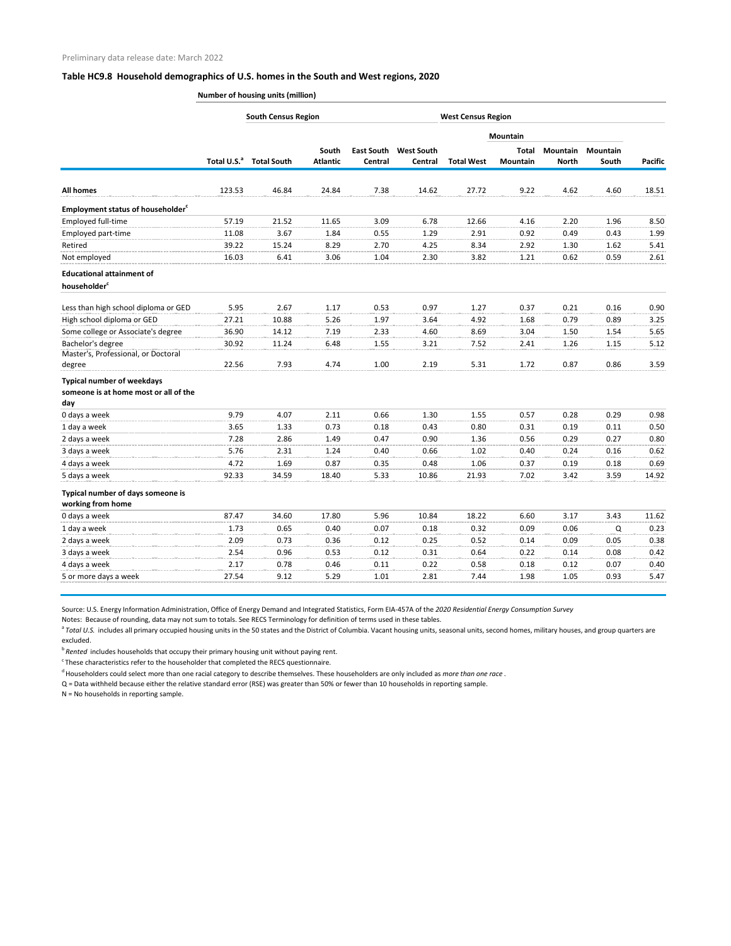## **Table HC9.8 Household demographics of U.S. homes in the South and West regions, 2020**

**Number of housing units (million)**

|                                                      | <b>South Census Region</b><br><b>West Census Region</b> |                    |                 |         |                              |                   |                 |              |                 |                |
|------------------------------------------------------|---------------------------------------------------------|--------------------|-----------------|---------|------------------------------|-------------------|-----------------|--------------|-----------------|----------------|
|                                                      |                                                         |                    |                 |         |                              |                   | <b>Mountain</b> |              |                 |                |
|                                                      |                                                         |                    | South           |         | <b>East South West South</b> |                   | Total           | Mountain     | <b>Mountain</b> |                |
|                                                      | Total U.S. <sup>a</sup>                                 | <b>Total South</b> | <b>Atlantic</b> | Central | Central                      | <b>Total West</b> | <b>Mountain</b> | <b>North</b> | South           | <b>Pacific</b> |
| <b>All homes</b>                                     | 123.53                                                  | 46.84              | 24.84           | 7.38    | 14.62                        | 27.72             | 9.22            | 4.62         | 4.60            | 18.51          |
|                                                      |                                                         |                    |                 |         |                              |                   |                 |              |                 |                |
| <b>Employment status of householder</b> <sup>c</sup> |                                                         |                    |                 |         |                              |                   |                 |              |                 |                |
| Employed full-time                                   | 57.19                                                   | 21.52              | 11.65           | 3.09    | 6.78                         | 12.66             | 4.16            | 2.20         | 1.96            | 8.50           |
| Employed part-time                                   | 11.08                                                   | 3.67               | 1.84            | 0.55    | 1.29                         | 2.91              | 0.92            | 0.49         | 0.43            | 1.99           |
| Retired                                              | 39.22                                                   | 15.24              | 8.29            | 2.70    | 4.25                         | 8.34              | 2.92            | 1.30         | 1.62            | 5.41           |
| Not employed                                         | 16.03                                                   | 6.41               | 3.06            | 1.04    | 2.30                         | 3.82              | 1.21            | 0.62         | 0.59            | 2.61           |
| <b>Educational attainment of</b>                     |                                                         |                    |                 |         |                              |                   |                 |              |                 |                |
| householder <sup>c</sup>                             |                                                         |                    |                 |         |                              |                   |                 |              |                 |                |
| Less than high school diploma or GED                 | 5.95                                                    | 2.67               | 1.17            | 0.53    | 0.97                         | 1.27              | 0.37            | 0.21         | 0.16            | 0.90           |
| High school diploma or GED                           | 27.21                                                   | 10.88              | 5.26            | 1.97    | 3.64                         | 4.92              | 1.68            | 0.79         | 0.89            | 3.25           |
| Some college or Associate's degree                   | 36.90                                                   | 14.12              | 7.19            | 2.33    | 4.60                         | 8.69              | 3.04            | 1.50         | 1.54            | 5.65           |
| Bachelor's degree                                    | 30.92                                                   | 11.24              | 6.48            | 1.55    | 3.21                         | 7.52              | 2.41            | 1.26         | 1.15            | 5.12           |
| Master's, Professional, or Doctoral                  |                                                         |                    |                 |         |                              |                   |                 |              |                 |                |
| degree                                               | 22.56                                                   | 7.93               | 4.74            | 1.00    | 2.19                         | 5.31              | 1.72            | 0.87         | 0.86            | 3.59           |
| <b>Typical number of weekdays</b>                    |                                                         |                    |                 |         |                              |                   |                 |              |                 |                |
| someone is at home most or all of the                |                                                         |                    |                 |         |                              |                   |                 |              |                 |                |
| day                                                  |                                                         |                    |                 |         |                              |                   |                 |              |                 |                |
| 0 days a week                                        | 9.79                                                    | 4.07               | 2.11            | 0.66    | 1.30                         | 1.55              | 0.57            | 0.28         | 0.29            | 0.98           |
| 1 day a week                                         | 3.65                                                    | 1.33               | 0.73            | 0.18    | 0.43                         | 0.80              | 0.31            | 0.19         | 0.11            | 0.50           |
| 2 days a week                                        | 7.28                                                    | 2.86               | 1.49            | 0.47    | 0.90                         | 1.36              | 0.56            | 0.29         | 0.27            | 0.80           |
| 3 days a week                                        | 5.76                                                    | 2.31               | 1.24            | 0.40    | 0.66                         | 1.02              | 0.40            | 0.24         | 0.16            | 0.62           |
| 4 days a week                                        | 4.72                                                    | 1.69               | 0.87            | 0.35    | 0.48                         | 1.06              | 0.37            | 0.19         | 0.18            | 0.69           |
| 5 days a week                                        | 92.33                                                   | 34.59              | 18.40           | 5.33    | 10.86                        | 21.93             | 7.02            | 3.42         | 3.59            | 14.92          |
| Typical number of days someone is                    |                                                         |                    |                 |         |                              |                   |                 |              |                 |                |
| working from home                                    |                                                         |                    |                 |         |                              |                   |                 |              |                 |                |
| 0 days a week                                        | 87.47                                                   | 34.60              | 17.80           | 5.96    | 10.84                        | 18.22             | 6.60            | 3.17         | 3.43            | 11.62          |
| 1 day a week                                         | 1.73                                                    | 0.65               | 0.40            | 0.07    | 0.18                         | 0.32              | 0.09            | 0.06         | Q               | 0.23           |
| 2 days a week                                        | 2.09                                                    | 0.73               | 0.36            | 0.12    | 0.25                         | 0.52              | 0.14            | 0.09         | 0.05            | 0.38           |
| 3 days a week                                        | 2.54                                                    | 0.96               | 0.53            | 0.12    | 0.31                         | 0.64              | 0.22            | 0.14         | 0.08            | 0.42           |
| 4 days a week                                        | 2.17                                                    | 0.78               | 0.46            | 0.11    | 0.22                         | 0.58              | 0.18            | 0.12         | 0.07            | 0.40           |
| 5 or more days a week                                | 27.54                                                   | 9.12               | 5.29            | 1.01    | 2.81                         | 7.44              | 1.98            | 1.05         | 0.93            | 5.47           |

Source: U.S. Energy Information Administration, Office of Energy Demand and Integrated Statistics, Form EIA-457A of the *2020 Residential Energy Consumption Survey*

Notes: Because of rounding, data may not sum to totals. See RECS Terminology for definition of terms used in these tables.

<sup>a</sup> Total U.S. includes all primary occupied housing units in the 50 states and the District of Columbia. Vacant housing units, seasonal units, second homes, military houses, and group quarters are excluded.

<sup>b</sup>*Rented* includes households that occupy their primary housing unit without paying rent.

 $\,^{\mathrm{c}}$  These characteristics refer to the householder that completed the RECS questionnaire.

d Householders could select more than one racial category to describe themselves. These householders are only included as *more than one race* .

Q = Data withheld because either the relative standard error (RSE) was greater than 50% or fewer than 10 households in reporting sample.

N = No households in reporting sample.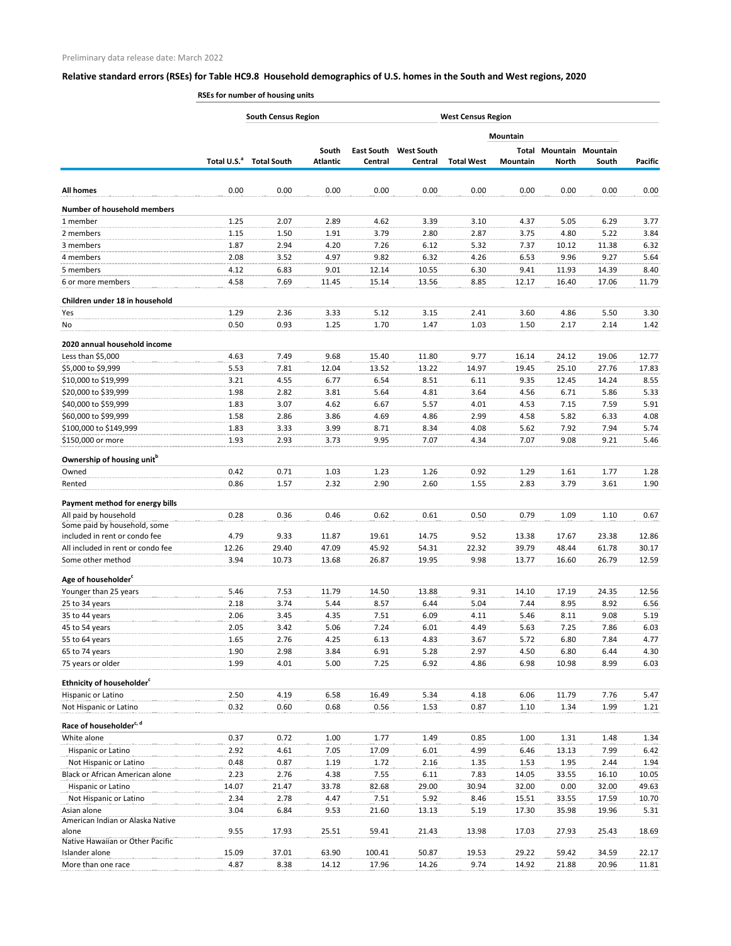## **Relative standard errors (RSEs) for Table HC9.8 Household demographics of U.S. homes in the South and West regions, 2020**

**RSEs for number of housing units**

|                                                                    |                         | <b>South Census Region</b> |                          |                              | <b>West Census Region</b>    |                   |                   |                |                                   |                |
|--------------------------------------------------------------------|-------------------------|----------------------------|--------------------------|------------------------------|------------------------------|-------------------|-------------------|----------------|-----------------------------------|----------------|
|                                                                    |                         |                            |                          |                              |                              |                   | Mountain          |                |                                   |                |
|                                                                    | Total U.S. <sup>a</sup> | <b>Total South</b>         | South<br><b>Atlantic</b> | <b>East South</b><br>Central | <b>West South</b><br>Central | <b>Total West</b> | Total<br>Mountain | <b>North</b>   | <b>Mountain Mountain</b><br>South | <b>Pacific</b> |
|                                                                    |                         |                            |                          |                              |                              |                   |                   |                |                                   |                |
| <b>All homes</b>                                                   | 0.00                    | 0.00                       | 0.00                     | 0.00                         | 0.00                         | 0.00              | 0.00              | 0.00           | 0.00                              | 0.00           |
| <b>Number of household members</b>                                 |                         |                            |                          |                              |                              |                   |                   |                |                                   |                |
| 1 member                                                           | 1.25                    | 2.07                       | 2.89                     | 4.62                         | 3.39                         | 3.10              | 4.37              | 5.05           | 6.29                              | 3.77           |
| 2 members                                                          | 1.15                    | 1.50                       | 1.91                     | 3.79                         | 2.80                         | 2.87              | 3.75              | 4.80           | 5.22                              | 3.84           |
| 3 members                                                          | 1.87                    | 2.94                       | 4.20                     | 7.26                         | 6.12                         | 5.32              | 7.37              | 10.12          | 11.38                             | 6.32           |
| 4 members                                                          | 2.08                    | 3.52                       | 4.97                     | 9.82                         | 6.32                         | 4.26              | 6.53              | 9.96           | 9.27                              | 5.64           |
| 5 members                                                          | 4.12                    | 6.83                       | 9.01                     | 12.14                        | 10.55                        | 6.30              | 9.41              | 11.93          | 14.39                             | 8.40           |
| 6 or more members                                                  | 4.58                    | 7.69                       | 11.45                    | 15.14                        | 13.56                        | 8.85              | 12.17             | 16.40          | 17.06                             | 11.79          |
| Children under 18 in household                                     |                         |                            |                          |                              |                              |                   |                   |                |                                   |                |
| Yes                                                                | 1.29                    | 2.36                       | 3.33                     | 5.12                         | 3.15                         | 2.41              | 3.60              | 4.86           | 5.50                              | 3.30           |
| No                                                                 | 0.50                    | 0.93                       | 1.25                     | 1.70                         | 1.47                         | 1.03              | 1.50              | 2.17           | 2.14                              | 1.42           |
| 2020 annual household income                                       |                         |                            |                          |                              |                              |                   |                   |                |                                   |                |
| Less than \$5,000                                                  | 4.63                    | 7.49                       | 9.68                     | 15.40                        | 11.80                        | 9.77              | 16.14             | 24.12          | 19.06                             | 12.77          |
| \$5,000 to \$9,999                                                 | 5.53                    | 7.81                       | 12.04                    | 13.52                        | 13.22                        | 14.97             | 19.45             | 25.10          | 27.76                             | 17.83          |
| \$10,000 to \$19,999                                               | 3.21                    | 4.55                       | 6.77                     | 6.54                         | 8.51                         | 6.11              | 9.35              | 12.45          | 14.24                             | 8.55           |
| \$20,000 to \$39,999                                               | 1.98                    | 2.82                       | 3.81                     | 5.64                         | 4.81                         | 3.64              | 4.56              | 6.71           | 5.86                              | 5.33           |
| \$40,000 to \$59,999                                               | 1.83                    | 3.07                       | 4.62                     | 6.67                         | 5.57                         | 4.01              | 4.53              | 7.15           | 7.59                              | 5.91           |
| \$60,000 to \$99,999                                               | 1.58                    | 2.86                       | 3.86                     | 4.69                         | 4.86                         | 2.99              | 4.58              | 5.82           | 6.33                              | 4.08           |
| \$100,000 to \$149,999                                             | 1.83                    | 3.33                       | 3.99                     | 8.71                         | 8.34                         | 4.08              | 5.62              | 7.92           | 7.94                              | 5.74           |
| \$150,000 or more                                                  | 1.93                    | 2.93                       | 3.73                     | 9.95                         | 7.07                         | 4.34              | 7.07              | 9.08           | 9.21                              | 5.46           |
| Ownership of housing unit <sup>b</sup>                             |                         |                            |                          |                              |                              |                   |                   |                |                                   |                |
| Owned                                                              | 0.42                    | 0.71                       | 1.03                     | 1.23                         | 1.26                         | 0.92              | 1.29              | 1.61           | 1.77                              | 1.28           |
| Rented                                                             | 0.86                    | 1.57                       | 2.32                     | 2.90                         | 2.60                         | 1.55              | 2.83              | 3.79           | 3.61                              | 1.90           |
| Payment method for energy bills                                    |                         |                            |                          |                              |                              |                   |                   |                |                                   |                |
| All paid by household                                              | 0.28                    | 0.36                       | 0.46                     | 0.62                         | 0.61                         | 0.50              | 0.79              | 1.09           | 1.10                              | 0.67           |
| Some paid by household, some                                       |                         |                            |                          |                              |                              |                   |                   |                |                                   |                |
| included in rent or condo fee<br>All included in rent or condo fee | 4.79                    | 9.33                       | 11.87<br>47.09           | 19.61                        | 14.75                        | 9.52              | 13.38<br>39.79    | 17.67<br>48.44 | 23.38<br>61.78                    | 12.86          |
| Some other method                                                  | 12.26<br>3.94           | 29.40<br>10.73             | 13.68                    | 45.92<br>26.87               | 54.31<br>19.95               | 22.32<br>9.98     | 13.77             | 16.60          | 26.79                             | 30.17<br>12.59 |
|                                                                    |                         |                            |                          |                              |                              |                   |                   |                |                                   |                |
| Age of householder <sup>c</sup>                                    |                         |                            |                          |                              |                              |                   |                   |                |                                   |                |
| Younger than 25 years                                              | 5.46                    | 7.53                       | 11.79                    | 14.50                        | 13.88                        | 9.31              | 14.10             | 17.19          | 24.35                             | 12.56          |
| 25 to 34 years                                                     | 2.18                    | 3.74                       | 5.44                     | 8.57                         | 6.44                         | 5.04              | 7.44              | 8.95           | 8.92                              | 6.56           |
| 35 to 44 years                                                     | 2.06                    | 3.45                       | 4.35                     | 7.51                         | 6.09                         | 4.11              | 5.46              | 8.11           | 9.08                              | 5.19           |
| 45 to 54 years<br>55 to 64 years                                   | 2.05<br>1.65            | 3.42<br>2.76               | 5.06<br>4.25             | 7.24<br>6.13                 | 6.01<br>4.83                 | 4.49<br>3.67      | 5.63<br>5.72      | 7.25<br>6.80   | 7.86<br>7.84                      | 6.03<br>4.77   |
| 65 to 74 years                                                     | 1.90                    | 2.98                       | 3.84                     | 6.91                         | 5.28                         | 2.97              | 4.50              | 6.80           | 6.44                              | 4.30           |
| 75 years or older                                                  | 1.99                    | 4.01                       | 5.00                     | 7.25                         | 6.92                         | 4.86              | 6.98              | 10.98          | 8.99                              | 6.03           |
|                                                                    |                         |                            |                          |                              |                              |                   |                   |                |                                   |                |
| Ethnicity of householder <sup>c</sup>                              |                         |                            |                          |                              |                              |                   |                   |                |                                   |                |
| Hispanic or Latino<br>Not Hispanic or Latino                       | 2.50<br>0.32            | 4.19<br>0.60               | 6.58<br>0.68             | 16.49<br>0.56                | 5.34<br>1.53                 | 4.18<br>0.87      | 6.06<br>1.10      | 11.79<br>1.34  | 7.76<br>1.99                      | 5.47<br>1.21   |
|                                                                    |                         |                            |                          |                              |                              |                   |                   |                |                                   |                |
| Race of householder <sup>c, d</sup>                                |                         |                            |                          |                              |                              |                   |                   |                |                                   |                |
| White alone                                                        | 0.37                    | 0.72                       | 1.00                     | 1.77                         | 1.49                         | 0.85              | 1.00              | 1.31           | 1.48                              | 1.34           |
| Hispanic or Latino                                                 | 2.92                    | 4.61                       | 7.05                     | 17.09                        | 6.01                         | 4.99              | 6.46              | 13.13          | 7.99                              | 6.42           |
| Not Hispanic or Latino<br>Black or African American alone          | 0.48<br>2.23            | 0.87<br>2.76               | 1.19<br>4.38             | 1.72<br>7.55                 | 2.16<br>6.11                 | 1.35<br>7.83      | 1.53<br>14.05     | 1.95<br>33.55  | 2.44<br>16.10                     | 1.94<br>10.05  |
| Hispanic or Latino                                                 | 14.07                   | 21.47                      | 33.78                    | 82.68                        | 29.00                        | 30.94             | 32.00             | 0.00           | 32.00                             | 49.63          |
| Not Hispanic or Latino                                             | 2.34                    | 2.78                       | 4.47                     | 7.51                         | 5.92                         | 8.46              | 15.51             | 33.55          | 17.59                             | 10.70          |
| Asian alone                                                        | 3.04                    | 6.84                       | 9.53                     | 21.60                        | 13.13                        | 5.19              | 17.30             | 35.98          | 19.96                             | 5.31           |
| American Indian or Alaska Native                                   |                         |                            |                          |                              |                              |                   |                   |                |                                   |                |
| alone<br>Native Hawaiian or Other Pacific                          | 9.55                    | 17.93                      | 25.51                    | 59.41                        | 21.43                        | 13.98             | 17.03             | 27.93          | 25.43                             | 18.69          |
| Islander alone                                                     | 15.09                   | 37.01                      | 63.90                    | 100.41                       | 50.87                        | 19.53             | 29.22             | 59.42          | 34.59                             | 22.17          |
| More than one race                                                 | 4.87                    | 8.38                       | 14.12                    | 17.96                        | 14.26                        | 9.74              | 14.92             | 21.88          | 20.96                             | 11.81          |